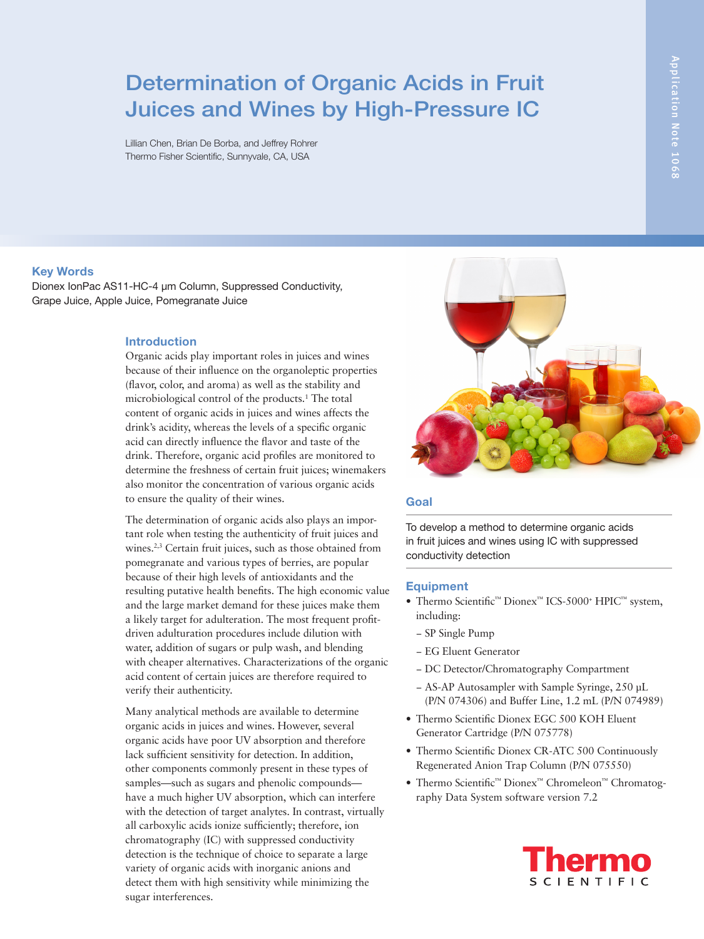# Determination of Organic Acids in Fruit Juices and Wines by High-Pressure IC

Lillian Chen, Brian De Borba, and Jeffrey Rohrer Thermo Fisher Scientific, Sunnyvale, CA, USA

# **Key Words**

Dionex IonPac AS11-HC-4 µm Column, Suppressed Conductivity, Grape Juice, Apple Juice, Pomegranate Juice

# **Introduction**

Organic acids play important roles in juices and wines because of their influence on the organoleptic properties (flavor, color, and aroma) as well as the stability and microbiological control of the products.<sup>1</sup> The total content of organic acids in juices and wines affects the drink's acidity, whereas the levels of a specific organic acid can directly influence the flavor and taste of the drink. Therefore, organic acid profiles are monitored to determine the freshness of certain fruit juices; winemakers also monitor the concentration of various organic acids to ensure the quality of their wines.

The determination of organic acids also plays an important role when testing the authenticity of fruit juices and wines.<sup>2,3</sup> Certain fruit juices, such as those obtained from pomegranate and various types of berries, are popular because of their high levels of antioxidants and the resulting putative health benefits. The high economic value and the large market demand for these juices make them a likely target for adulteration. The most frequent profitdriven adulturation procedures include dilution with water, addition of sugars or pulp wash, and blending with cheaper alternatives. Characterizations of the organic acid content of certain juices are therefore required to verify their authenticity.

Many analytical methods are available to determine organic acids in juices and wines. However, several organic acids have poor UV absorption and therefore lack sufficient sensitivity for detection. In addition, other components commonly present in these types of samples—such as sugars and phenolic compounds have a much higher UV absorption, which can interfere with the detection of target analytes. In contrast, virtually all carboxylic acids ionize sufficiently; therefore, ion chromatography (IC) with suppressed conductivity detection is the technique of choice to separate a large variety of organic acids with inorganic anions and detect them with high sensitivity while minimizing the sugar interferences.



# **Goal**

To develop a method to determine organic acids in fruit juices and wines using IC with suppressed conductivity detection

#### **Equipment**

- Thermo Scientific™ Dionex™ ICS-5000+ HPIC™ system, including:
	- − SP Single Pump
	- − EG Eluent Generator
	- − DC Detector/Chromatography Compartment
	- − AS-AP Autosampler with Sample Syringe, 250 μL (P/N 074306) and Buffer Line, 1.2 mL (P/N 074989)
- Thermo Scientific Dionex EGC 500 KOH Eluent Generator Cartridge (P/N 075778)
- Thermo Scientific Dionex CR-ATC 500 Continuously Regenerated Anion Trap Column (P/N 075550)
- Thermo Scientific™ Dionex™ Chromeleon™ Chromatography Data System software version 7.2

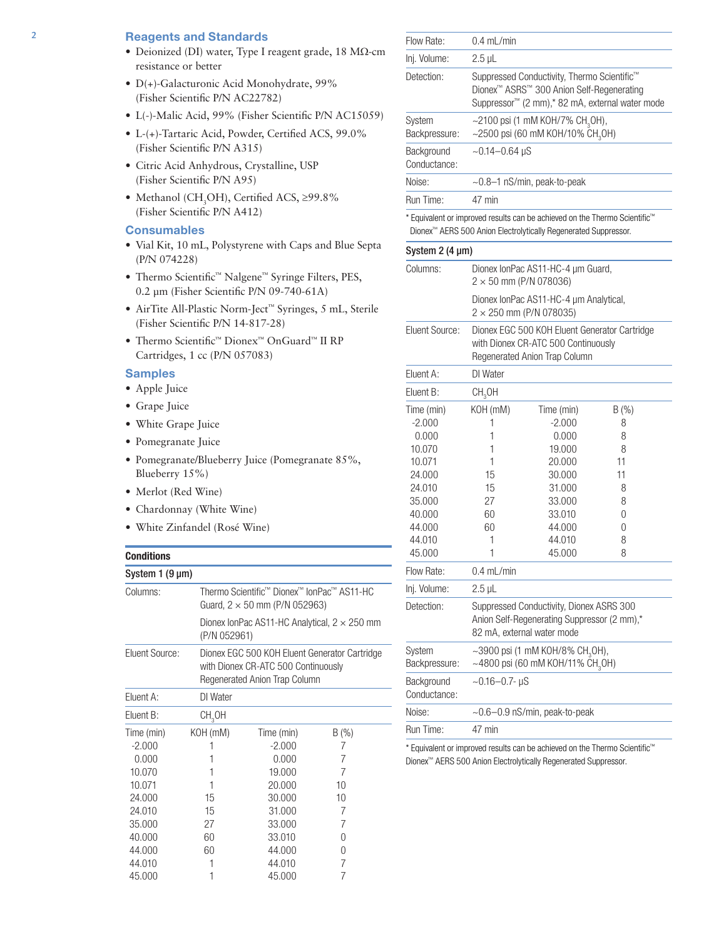# 2 **Reagents and Standards**

- Deionized (DI) water, Type I reagent grade, 18 MΩ-cm resistance or better
- D(+)-Galacturonic Acid Monohydrate, 99% (Fisher Scientific P/N AC22782)
- L(-)-Malic Acid, 99% (Fisher Scientific P/N AC15059)
- L-(+)-Tartaric Acid, Powder, Certified ACS, 99.0% (Fisher Scientific P/N A315)
- Citric Acid Anhydrous, Crystalline, USP (Fisher Scientific P/N A95)
- Methanol (CH<sub>3</sub>OH), Certified ACS,  $\geq$ 99.8% (Fisher Scientific P/N A412)

# **Consumables**

- Vial Kit, 10 mL, Polystyrene with Caps and Blue Septa (P/N 074228)
- Thermo Scientific™ Nalgene™ Syringe Filters, PES, 0.2 µm (Fisher Scientific P/N 09-740-61A)
- AirTite All-Plastic Norm-Ject™ Syringes, 5 mL, Sterile (Fisher Scientific P/N 14-817-28)
- Thermo Scientific™ Dionex™ OnGuard™ II RP Cartridges, 1 cc (P/N 057083)

# **Samples**

- Apple Juice
- Grape Juice
- White Grape Juice
- Pomegranate Juice
- Pomegranate/Blueberry Juice (Pomegranate 85%, Blueberry 15%)
- Merlot (Red Wine)
- Chardonnay (White Wine)
- White Zinfandel (Rosé Wine)

# **Conditions**

| System $1(9 \mu m)$    |                                                                                                                        |                                                                                                                       |           |  |  |  |
|------------------------|------------------------------------------------------------------------------------------------------------------------|-----------------------------------------------------------------------------------------------------------------------|-----------|--|--|--|
| Columns:               | Thermo Scientific <sup>™</sup> Dionex <sup>™</sup> IonPac <sup>™</sup> AS11-HC<br>Guard, $2 \times 50$ mm (P/N 052963) |                                                                                                                       |           |  |  |  |
|                        | (P/N 052961)                                                                                                           | Dionex IonPac AS11-HC Analytical, $2 \times 250$ mm                                                                   |           |  |  |  |
| Eluent Source:         |                                                                                                                        | Dionex EGC 500 KOH Eluent Generator Cartridge<br>with Dionex CR-ATC 500 Continuously<br>Regenerated Anion Trap Column |           |  |  |  |
| Eluent A:              | DI Water                                                                                                               |                                                                                                                       |           |  |  |  |
| Eluent B:              | CH <sub>3</sub> OH                                                                                                     |                                                                                                                       |           |  |  |  |
| Time (min)<br>$-2.000$ | KOH (mM)                                                                                                               | Time (min)<br>$-2.000$                                                                                                | B(%)<br>7 |  |  |  |
| 0.000<br>10.070        | 1<br>1                                                                                                                 | 0.000<br>19,000                                                                                                       | 7<br>7    |  |  |  |
| 10.071<br>24.000       | 1<br>15                                                                                                                | 20,000<br>30,000                                                                                                      | 10<br>10  |  |  |  |
| 24.010<br>35.000       | 15<br>27                                                                                                               | 31.000<br>33.000                                                                                                      | 7<br>7    |  |  |  |
| 40.000<br>44.000       | 60<br>60                                                                                                               | 33.010<br>44.000                                                                                                      | 0<br>0    |  |  |  |
| 44.010<br>45.000       | 1                                                                                                                      | 44.010<br>45.000                                                                                                      | 7         |  |  |  |

| Flow Rate:                                                                                                                                              | $0.4$ mL/min                                                                                                                                            |                                                                                                                                                                       |                                                               |  |  |  |
|---------------------------------------------------------------------------------------------------------------------------------------------------------|---------------------------------------------------------------------------------------------------------------------------------------------------------|-----------------------------------------------------------------------------------------------------------------------------------------------------------------------|---------------------------------------------------------------|--|--|--|
| Inj. Volume:                                                                                                                                            | $2.5 \mu L$                                                                                                                                             |                                                                                                                                                                       |                                                               |  |  |  |
| Detection:                                                                                                                                              | Suppressed Conductivity, Thermo Scientific™<br>Dionex™ ASRS™ 300 Anion Self-Regenerating<br>Suppressor <sup>™</sup> (2 mm),* 82 mA, external water mode |                                                                                                                                                                       |                                                               |  |  |  |
| System<br>Backpressure:                                                                                                                                 | ~2100 psi (1 mM KOH/7% CH <sub>3</sub> OH),<br>~2500 psi (60 mM KOH/10% CH <sub>3</sub> OH)                                                             |                                                                                                                                                                       |                                                               |  |  |  |
| Background<br>Conductance:                                                                                                                              |                                                                                                                                                         | $\sim$ 0.14–0.64 µS                                                                                                                                                   |                                                               |  |  |  |
| Noise:                                                                                                                                                  |                                                                                                                                                         | ~0.8-1 nS/min, peak-to-peak                                                                                                                                           |                                                               |  |  |  |
| Run Time:                                                                                                                                               | 47 min                                                                                                                                                  |                                                                                                                                                                       |                                                               |  |  |  |
|                                                                                                                                                         |                                                                                                                                                         | * Equivalent or improved results can be achieved on the Thermo Scientific <sup>™</sup><br>Dionex <sup>™</sup> AERS 500 Anion Electrolytically Regenerated Suppressor. |                                                               |  |  |  |
| System $2(4 \mu m)$                                                                                                                                     |                                                                                                                                                         |                                                                                                                                                                       |                                                               |  |  |  |
| Columns:                                                                                                                                                |                                                                                                                                                         | Dionex IonPac AS11-HC-4 µm Guard,<br>$2 \times 50$ mm (P/N 078036)                                                                                                    |                                                               |  |  |  |
|                                                                                                                                                         |                                                                                                                                                         | Dionex IonPac AS11-HC-4 µm Analytical,<br>$2 \times 250$ mm (P/N 078035)                                                                                              |                                                               |  |  |  |
| Eluent Source:                                                                                                                                          | Dionex EGC 500 KOH Eluent Generator Cartridge<br>with Dionex CR-ATC 500 Continuously<br>Regenerated Anion Trap Column                                   |                                                                                                                                                                       |                                                               |  |  |  |
| Eluent A:                                                                                                                                               | DI Water                                                                                                                                                |                                                                                                                                                                       |                                                               |  |  |  |
| Eluent B:                                                                                                                                               | CH <sub>3</sub> OH                                                                                                                                      |                                                                                                                                                                       |                                                               |  |  |  |
| Time (min)<br>$-2.000$<br>0.000<br>10.070<br>10.071<br>24.000<br>24.010<br>35.000<br>40.000<br>44.000<br>44.010<br>45.000<br>Flow Rate:<br>Inj. Volume: | KOH (mM)<br>1<br>1<br>1<br>1<br>15<br>15<br>27<br>60<br>60<br>1<br>1<br>0.4 mL/min<br>$2.5$ µL                                                          | Time (min)<br>$-2.000$<br>0.000<br>19.000<br>20.000<br>30.000<br>31.000<br>33.000<br>33.010<br>44.000<br>44.010<br>45.000                                             | B(%)<br>8<br>8<br>8<br>11<br>11<br>8<br>8<br>0<br>0<br>8<br>8 |  |  |  |
| Detection:                                                                                                                                              | Suppressed Conductivity, Dionex ASRS 300<br>Anion Self-Regenerating Suppressor (2 mm),*<br>82 mA, external water mode                                   |                                                                                                                                                                       |                                                               |  |  |  |
| System<br>Backpressure:                                                                                                                                 |                                                                                                                                                         | ~3900 psi (1 mM KOH/8% CH <sub>3</sub> OH),<br>$\sim$ 4800 psi (60 mM KOH/11% CH <sub>3</sub> OH)                                                                     |                                                               |  |  |  |
| Background<br>Conductance:                                                                                                                              | $-0.16 - 0.7 - \mu S$                                                                                                                                   |                                                                                                                                                                       |                                                               |  |  |  |
| Noise:                                                                                                                                                  | $\sim$ 0.6–0.9 nS/min, peak-to-peak                                                                                                                     |                                                                                                                                                                       |                                                               |  |  |  |
| Run Time:                                                                                                                                               | 47 min                                                                                                                                                  |                                                                                                                                                                       |                                                               |  |  |  |
|                                                                                                                                                         |                                                                                                                                                         |                                                                                                                                                                       |                                                               |  |  |  |

\* Equivalent or improved results can be achieved on the Thermo Scientific™ Dionex™ AERS 500 Anion Electrolytically Regenerated Suppressor.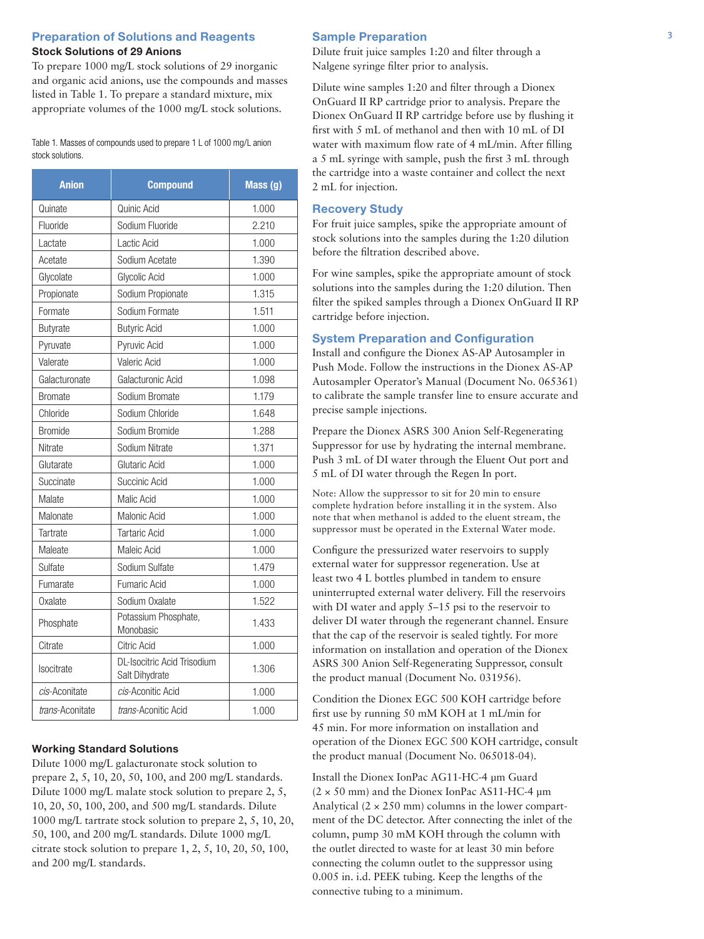# **Preparation of Solutions and Reagents** 3 **Stock Solutions of 29 Anions**

To prepare 1000 mg/L stock solutions of 29 inorganic and organic acid anions, use the compounds and masses listed in Table 1. To prepare a standard mixture, mix appropriate volumes of the 1000 mg/L stock solutions.

Table 1. Masses of compounds used to prepare 1 L of 1000 mg/L anion stock solutions.

| <b>Anion</b>    | <b>Compound</b>                                               | Mass (g) |
|-----------------|---------------------------------------------------------------|----------|
| Quinate         | Quinic Acid                                                   | 1.000    |
| Fluoride        | Sodium Fluoride                                               | 2.210    |
| Lactate         | Lactic Acid                                                   | 1.000    |
| Acetate         | Sodium Acetate                                                | 1.390    |
| Glycolate       | Glycolic Acid                                                 | 1.000    |
| Propionate      | Sodium Propionate                                             | 1.315    |
| Formate         | Sodium Formate                                                | 1.511    |
| Butyrate        | <b>Butyric Acid</b>                                           | 1.000    |
| Pyruvate        | Pyruvic Acid                                                  | 1.000    |
| Valerate        | Valeric Acid                                                  | 1.000    |
| Galacturonate   | Galacturonic Acid                                             | 1.098    |
| <b>Bromate</b>  | Sodium Bromate                                                | 1.179    |
| Chloride        | Sodium Chloride                                               | 1.648    |
| <b>Bromide</b>  | Sodium Bromide                                                | 1.288    |
| Nitrate         | Sodium Nitrate                                                | 1.371    |
| Glutarate       | Glutaric Acid                                                 | 1.000    |
| Succinate       | Succinic Acid                                                 | 1.000    |
| Malate          | Malic Acid                                                    | 1.000    |
| Malonate        | Malonic Acid                                                  | 1.000    |
| Tartrate        | <b>Tartaric Acid</b>                                          | 1.000    |
| Maleate         | Maleic Acid                                                   | 1.000    |
| Sulfate         | Sodium Sulfate                                                | 1.479    |
| Fumarate        | Fumaric Acid                                                  | 1.000    |
| Oxalate         | Sodium Oxalate                                                | 1.522    |
| Phosphate       | Potassium Phosphate,<br>Monobasic                             | 1.433    |
| Citrate         | Citric Acid                                                   | 1.000    |
| Isocitrate      | <b>DL-Isocitric Acid Trisodium</b><br>1.306<br>Salt Dihydrate |          |
| cis-Aconitate   | cis-Aconitic Acid                                             | 1.000    |
| trans-Aconitate | trans-Aconitic Acid                                           | 1.000    |

# **Working Standard Solutions**

Dilute 1000 mg/L galacturonate stock solution to prepare 2, 5, 10, 20, 50, 100, and 200 mg/L standards. Dilute 1000 mg/L malate stock solution to prepare 2, 5, 10, 20, 50, 100, 200, and 500 mg/L standards. Dilute 1000 mg/L tartrate stock solution to prepare 2, 5, 10, 20, 50, 100, and 200 mg/L standards. Dilute 1000 mg/L citrate stock solution to prepare 1, 2, 5, 10, 20, 50, 100, and 200 mg/L standards.

#### **Sample Preparation**

Dilute fruit juice samples 1:20 and filter through a Nalgene syringe filter prior to analysis.

Dilute wine samples 1:20 and filter through a Dionex OnGuard II RP cartridge prior to analysis. Prepare the Dionex OnGuard II RP cartridge before use by flushing it first with 5 mL of methanol and then with 10 mL of DI water with maximum flow rate of 4 mL/min. After filling a 5 mL syringe with sample, push the first 3 mL through the cartridge into a waste container and collect the next 2 mL for injection.

# **Recovery Study**

For fruit juice samples, spike the appropriate amount of stock solutions into the samples during the 1:20 dilution before the filtration described above.

For wine samples, spike the appropriate amount of stock solutions into the samples during the 1:20 dilution. Then filter the spiked samples through a Dionex OnGuard II RP cartridge before injection.

# **System Preparation and Configuration**

Install and configure the Dionex AS-AP Autosampler in Push Mode. Follow the instructions in the Dionex AS-AP Autosampler Operator's Manual (Document No. 065361) to calibrate the sample transfer line to ensure accurate and precise sample injections.

Prepare the Dionex ASRS 300 Anion Self-Regenerating Suppressor for use by hydrating the internal membrane. Push 3 mL of DI water through the Eluent Out port and 5 mL of DI water through the Regen In port.

Note: Allow the suppressor to sit for 20 min to ensure complete hydration before installing it in the system. Also note that when methanol is added to the eluent stream, the suppressor must be operated in the External Water mode.

Configure the pressurized water reservoirs to supply external water for suppressor regeneration. Use at least two 4 L bottles plumbed in tandem to ensure uninterrupted external water delivery. Fill the reservoirs with DI water and apply 5–15 psi to the reservoir to deliver DI water through the regenerant channel. Ensure that the cap of the reservoir is sealed tightly. For more information on installation and operation of the Dionex ASRS 300 Anion Self-Regenerating Suppressor, consult the product manual (Document No. 031956).

Condition the Dionex EGC 500 KOH cartridge before first use by running 50 mM KOH at 1 mL/min for 45 min. For more information on installation and operation of the Dionex EGC 500 KOH cartridge, consult the product manual (Document No. 065018-04).

Install the Dionex IonPac AG11-HC-4 µm Guard  $(2 \times 50 \text{ mm})$  and the Dionex IonPac AS11-HC-4 µm Analytical  $(2 \times 250 \text{ mm})$  columns in the lower compartment of the DC detector. After connecting the inlet of the column, pump 30 mM KOH through the column with the outlet directed to waste for at least 30 min before connecting the column outlet to the suppressor using 0.005 in. i.d. PEEK tubing. Keep the lengths of the connective tubing to a minimum.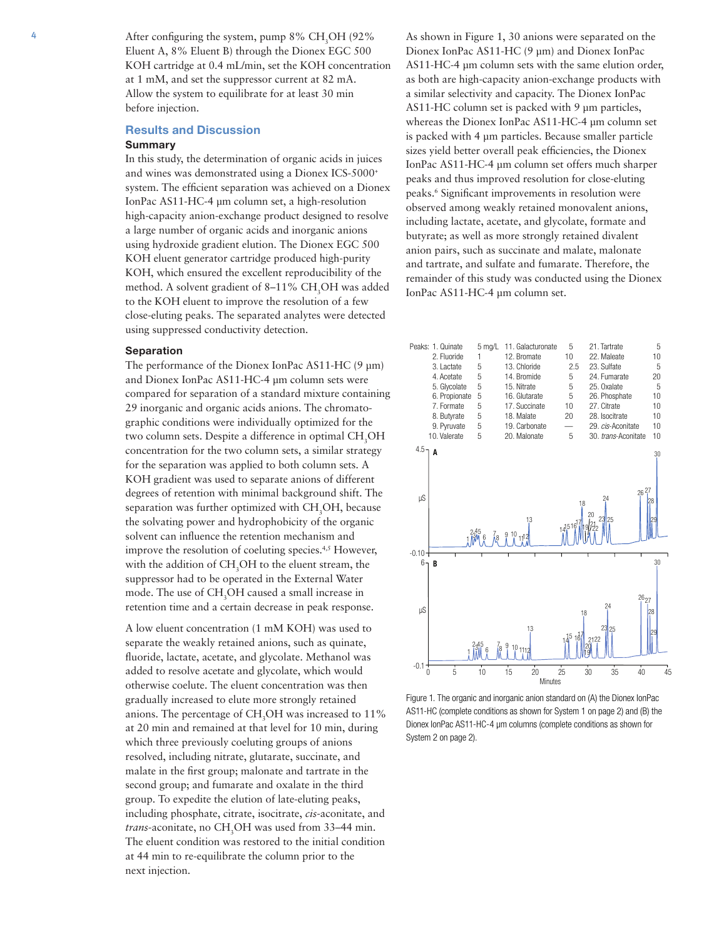4 After configuring the system, pump  $8\%$  CH<sub>3</sub>OH (92%) Eluent A, 8% Eluent B) through the Dionex EGC 500 KOH cartridge at 0.4 mL/min, set the KOH concentration at 1 mM, and set the suppressor current at 82 mA. Allow the system to equilibrate for at least 30 min before injection.

# **Results and Discussion**

# **Summary**

In this study, the determination of organic acids in juices and wines was demonstrated using a Dionex ICS-5000+ system. The efficient separation was achieved on a Dionex IonPac AS11-HC-4 µm column set, a high-resolution high-capacity anion-exchange product designed to resolve a large number of organic acids and inorganic anions using hydroxide gradient elution. The Dionex EGC 500 KOH eluent generator cartridge produced high-purity KOH, which ensured the excellent reproducibility of the method. A solvent gradient of 8–11% CH<sub>3</sub>OH was added to the KOH eluent to improve the resolution of a few close-eluting peaks. The separated analytes were detected using suppressed conductivity detection.

#### **Separation**

The performance of the Dionex IonPac AS11-HC (9 µm) and Dionex IonPac AS11-HC-4 µm column sets were compared for separation of a standard mixture containing 29 inorganic and organic acids anions. The chromatographic conditions were individually optimized for the two column sets. Despite a difference in optimal CH<sub>3</sub>OH concentration for the two column sets, a similar strategy for the separation was applied to both column sets. A KOH gradient was used to separate anions of different degrees of retention with minimal background shift. The separation was further optimized with  $CH<sub>3</sub>OH$ , because the solvating power and hydrophobicity of the organic solvent can influence the retention mechanism and improve the resolution of coeluting species.<sup>4,5</sup> However, with the addition of CH<sub>3</sub>OH to the eluent stream, the suppressor had to be operated in the External Water mode. The use of CH<sub>3</sub>OH caused a small increase in retention time and a certain decrease in peak response.

A low eluent concentration (1 mM KOH) was used to separate the weakly retained anions, such as quinate, fluoride, lactate, acetate, and glycolate. Methanol was added to resolve acetate and glycolate, which would otherwise coelute. The eluent concentration was then gradually increased to elute more strongly retained anions. The percentage of CH<sub>3</sub>OH was increased to  $11\%$ at 20 min and remained at that level for 10 min, during which three previously coeluting groups of anions resolved, including nitrate, glutarate, succinate, and malate in the first group; malonate and tartrate in the second group; and fumarate and oxalate in the third group. To expedite the elution of late-eluting peaks, including phosphate, citrate, isocitrate, *cis*-aconitate, and *trans*-aconitate, no CH<sub>3</sub>OH was used from 33–44 min. The eluent condition was restored to the initial condition at 44 min to re-equilibrate the column prior to the next injection.

As shown in Figure 1, 30 anions were separated on the Dionex IonPac AS11-HC (9 µm) and Dionex IonPac AS11-HC-4 µm column sets with the same elution order, as both are high-capacity anion-exchange products with a similar selectivity and capacity. The Dionex IonPac AS11-HC column set is packed with 9 µm particles, whereas the Dionex IonPac AS11-HC-4 µm column set is packed with 4 µm particles. Because smaller particle sizes yield better overall peak efficiencies, the Dionex IonPac AS11-HC-4 µm column set offers much sharper peaks and thus improved resolution for close-eluting peaks.6 Significant improvements in resolution were observed among weakly retained monovalent anions, including lactate, acetate, and glycolate, formate and butyrate; as well as more strongly retained divalent anion pairs, such as succinate and malate, malonate and tartrate, and sulfate and fumarate. Therefore, the remainder of this study was conducted using the Dionex IonPac AS11-HC-4 µm column set.



Figure 1. The organic and inorganic anion standard on (A) the Dionex IonPac AS11-HC (complete conditions as shown for System 1 on page 2) and (B) the Dionex IonPac AS11-HC-4 µm columns (complete conditions as shown for System 2 on page 2).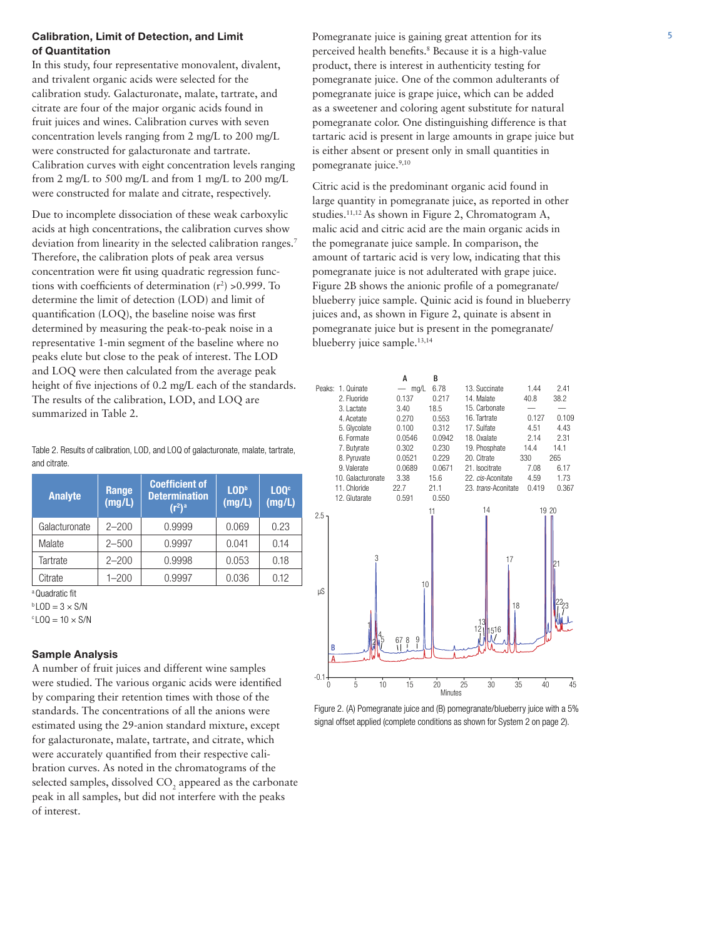# **Calibration, Limit of Detection, and Limit 5** Pomegranate juice is gaining great attention for its **5 5 of Quantitation**

In this study, four representative monovalent, divalent, and trivalent organic acids were selected for the calibration study. Galacturonate, malate, tartrate, and citrate are four of the major organic acids found in fruit juices and wines. Calibration curves with seven concentration levels ranging from 2 mg/L to 200 mg/L were constructed for galacturonate and tartrate. Calibration curves with eight concentration levels ranging from 2 mg/L to 500 mg/L and from 1 mg/L to 200 mg/L were constructed for malate and citrate, respectively.

Due to incomplete dissociation of these weak carboxylic acids at high concentrations, the calibration curves show deviation from linearity in the selected calibration ranges.<sup>7</sup> Therefore, the calibration plots of peak area versus concentration were fit using quadratic regression functions with coefficients of determination  $(r^2) > 0.999$ . To determine the limit of detection (LOD) and limit of quantification (LOQ), the baseline noise was first determined by measuring the peak-to-peak noise in a representative 1-min segment of the baseline where no peaks elute but close to the peak of interest. The LOD and LOQ were then calculated from the average peak height of five injections of 0.2 mg/L each of the standards. The results of the calibration, LOD, and LOQ are summarized in Table 2.

Table 2. Results of calibration, LOD, and LOQ of galacturonate, malate, tartrate, and citrate.

| <b>Analyte</b>    | Range<br>(mg/L) | <b>Coefficient of</b><br><b>Determination</b><br>$(r^2)^a$ | LOD <sup>b</sup><br>(mg/L) | LOO <sup>c</sup><br>(mg/L) |
|-------------------|-----------------|------------------------------------------------------------|----------------------------|----------------------------|
| Galacturonate     | $2 - 200$       | 0.9999                                                     | 0.069                      | 0.23                       |
| Malate            | $2 - 500$       | 0.9997                                                     | 0.041                      | 0.14                       |
| Tartrate          | $2 - 200$       | 0.9998                                                     | 0.053                      | 0.18                       |
| Citrate           | $1 - 200$       | 0.9997                                                     | 0.036                      | 0.12                       |
| $a$ Oundratio fit |                 |                                                            |                            |                            |

a Quadratic fit

 $b$  LOD = 3  $\times$  S/N

 $c$  LOQ = 10  $\times$  S/N

# **Sample Analysis**

A number of fruit juices and different wine samples were studied. The various organic acids were identified by comparing their retention times with those of the standards. The concentrations of all the anions were estimated using the 29-anion standard mixture, except for galacturonate, malate, tartrate, and citrate, which were accurately quantified from their respective calibration curves. As noted in the chromatograms of the selected samples, dissolved  $\mathrm{CO}_2$  appeared as the carbonate peak in all samples, but did not interfere with the peaks of interest.

perceived health benefits.<sup>8</sup> Because it is a high-value product, there is interest in authenticity testing for pomegranate juice. One of the common adulterants of pomegranate juice is grape juice, which can be added as a sweetener and coloring agent substitute for natural pomegranate color. One distinguishing difference is that tartaric acid is present in large amounts in grape juice but is either absent or present only in small quantities in pomegranate juice.<sup>9,10</sup>

Citric acid is the predominant organic acid found in large quantity in pomegranate juice, as reported in other studies.11,12 As shown in Figure 2, Chromatogram A, malic acid and citric acid are the main organic acids in the pomegranate juice sample. In comparison, the amount of tartaric acid is very low, indicating that this pomegranate juice is not adulterated with grape juice. Figure 2B shows the anionic profile of a pomegranate/ blueberry juice sample. Quinic acid is found in blueberry juices and, as shown in Figure 2, quinate is absent in pomegranate juice but is present in the pomegranate/ blueberry juice sample.13,14



Figure 2. (A) Pomegranate juice and (B) pomegranate/blueberry juice with a 5% signal offset applied (complete conditions as shown for System 2 on page 2).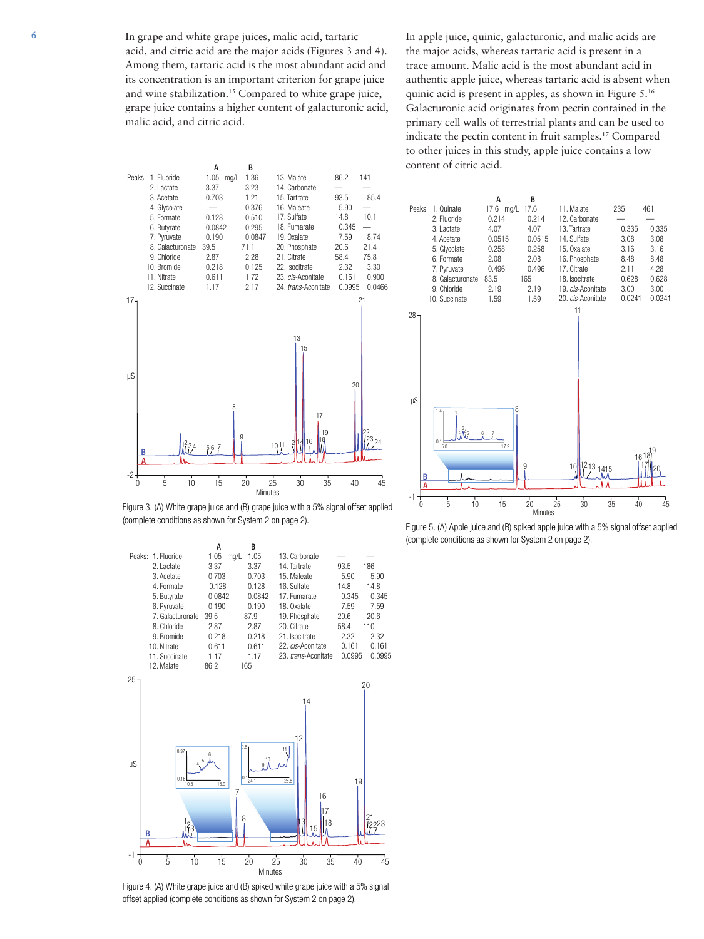6 In grape and white grape juices, malic acid, tartaric acid, and citric acid are the major acids (Figures 3 and 4). Among them, tartaric acid is the most abundant acid and its concentration is an important criterion for grape juice and wine stabilization.15 Compared to white grape juice, grape juice contains a higher content of galacturonic acid, malic acid, and citric acid.

In apple juice, quinic, galacturonic, and malic acids are the major acids, whereas tartaric acid is present in a trace amount. Malic acid is the most abundant acid in authentic apple juice, whereas tartaric acid is absent when quinic acid is present in apples, as shown in Figure 5.16 Galacturonic acid originates from pectin contained in the primary cell walls of terrestrial plants and can be used to indicate the pectin content in fruit samples.17 Compared to other juices in this study, apple juice contains a low content of citric acid.



Figure 3. (A) White grape juice and (B) grape juice with a 5% signal offset applied (complete conditions as shown for System 2 on page 2).



Figure 4. (A) White grape juice and (B) spiked white grape juice with a 5% signal offset applied (complete conditions as shown for System 2 on page 2).



Figure 5. (A) Apple juice and (B) spiked apple juice with a 5% signal offset applied (complete conditions as shown for System 2 on page 2).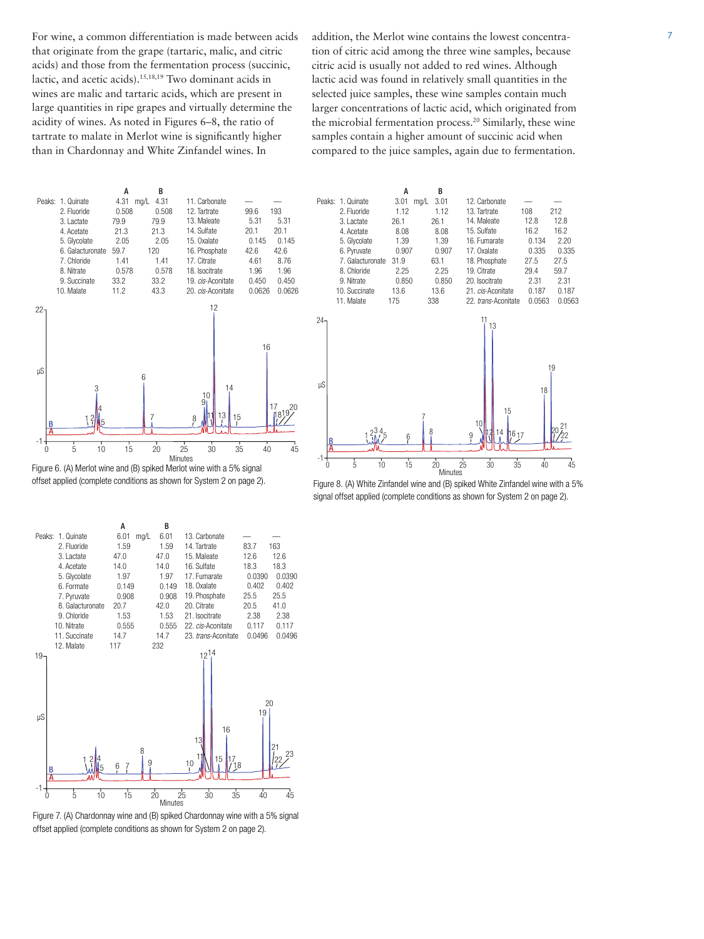that originate from the grape (tartaric, malic, and citric acids) and those from the fermentation process (succinic, lactic, and acetic acids).15,18,19 Two dominant acids in wines are malic and tartaric acids, which are present in large quantities in ripe grapes and virtually determine the acidity of wines. As noted in Figures 6–8, the ratio of tartrate to malate in Merlot wine is significantly higher than in Chardonnay and White Zinfandel wines. In

For wine, a common differentiation is made between acids addition, the Merlot wine contains the lowest concentraaddition, the Merlot wine contains the lowest concentration of citric acid among the three wine samples, because citric acid is usually not added to red wines. Although lactic acid was found in relatively small quantities in the selected juice samples, these wine samples contain much larger concentrations of lactic acid, which originated from the microbial fermentation process.<sup>20</sup> Similarly, these wine samples contain a higher amount of succinic acid when compared to the juice samples, again due to fermentation.





10

14 15

16 17

12. Carbonate — — —<br>13. Tartrate 108 212 13. Tartrate 108 14. Maleate 12.8 12.8 15. Sulfate 16.2 16.2<br>16. Fumarate 0.134 2.20 16. Fumarate 0.134 17. Oxalate 0.335 0.335 18. Phosphate 27.5 27.5 19. Citrate 29.4 59.7 20. Isocitrate 2.31 2.31 21. *cis*-Aconitate 0.187 0.187

18

 $19$ 

 $20^{21}_{60}$ 

11 13

22. *trans*-Aconitate



Figure 7. (A) Chardonnay wine and (B) spiked Chardonnay wine with a 5% signal offset applied (complete conditions as shown for System 2 on page 2).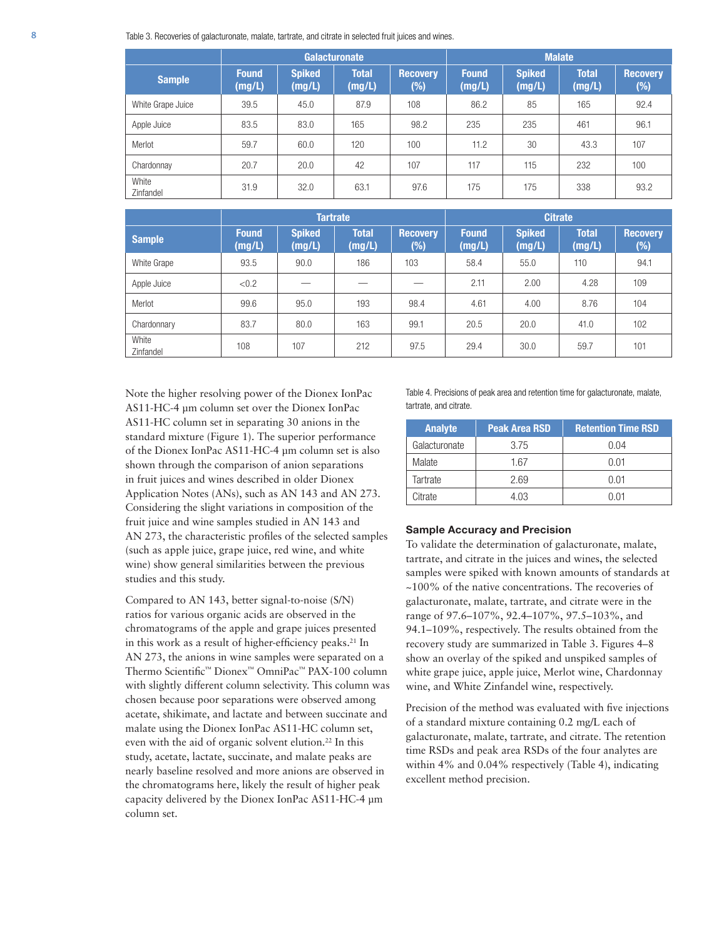8 Table 3. Recoveries of galacturonate, malate, tartrate, and citrate in selected fruit juices and wines.

|                    | <b>Galacturonate</b>   |                         |                              |                           | <b>Malate</b>          |                         |                        |                           |
|--------------------|------------------------|-------------------------|------------------------------|---------------------------|------------------------|-------------------------|------------------------|---------------------------|
| <b>Sample</b>      | <b>Found</b><br>(mg/L) | <b>Spiked</b><br>(mg/L) | Total <sup>'</sup><br>(mg/L) | <b>Recovery</b><br>$(\%)$ | <b>Found</b><br>(mg/L) | <b>Spiked</b><br>(mg/L) | <b>Total</b><br>(mg/L) | <b>Recovery</b><br>$(\%)$ |
| White Grape Juice  | 39.5                   | 45.0                    | 87.9                         | 108                       | 86.2                   | 85                      | 165                    | 92.4                      |
| Apple Juice        | 83.5                   | 83.0                    | 165                          | 98.2                      | 235                    | 235                     | 461                    | 96.1                      |
| Merlot             | 59.7                   | 60.0                    | 120                          | $100 -$                   | 11.2                   | 30                      | 43.3                   | 107                       |
| Chardonnay         | 20.7                   | 20.0                    | 42                           | 107                       | 117                    | 115                     | 232                    | 100                       |
| White<br>Zinfandel | 31.9                   | 32.0                    | 63.1                         | 97.6                      | 175                    | 175                     | 338                    | 93.2                      |

|                    | <b>Tartrate</b>        |                         |                        |                           | <b>Citrate</b>         |                         |                        |                           |
|--------------------|------------------------|-------------------------|------------------------|---------------------------|------------------------|-------------------------|------------------------|---------------------------|
| <b>Sample</b>      | <b>Found</b><br>(mg/L) | <b>Spiked</b><br>(mg/L) | <b>Total</b><br>(mg/L) | <b>Recovery</b><br>$(\%)$ | <b>Found</b><br>(mg/L) | <b>Spiked</b><br>(mg/L) | <b>Total</b><br>(mg/L) | <b>Recovery</b><br>$(\%)$ |
| White Grape        | 93.5                   | 90.0                    | 186                    | 103                       | 58.4                   | 55.0                    | 110                    | 94.1                      |
| Apple Juice        | < 0.2                  |                         |                        |                           | 2.11                   | 2.00                    | 4.28                   | 109                       |
| Merlot             | 99.6                   | 95.0                    | 193                    | 98.4                      | 4.61                   | 4.00                    | 8.76                   | 104                       |
| Chardonnary        | 83.7                   | 80.0                    | 163                    | 99.1                      | 20.5                   | 20.0                    | 41.0                   | 102                       |
| White<br>Zinfandel | 108                    | 107                     | 212                    | 97.5                      | 29.4                   | 30.0                    | 59.7                   | 101                       |

Note the higher resolving power of the Dionex IonPac AS11-HC-4 µm column set over the Dionex IonPac AS11-HC column set in separating 30 anions in the standard mixture (Figure 1). The superior performance of the Dionex IonPac AS11-HC-4 µm column set is also shown through the comparison of anion separations in fruit juices and wines described in older Dionex Application Notes (ANs), such as AN 143 and AN 273. Considering the slight variations in composition of the fruit juice and wine samples studied in AN 143 and AN 273, the characteristic profiles of the selected samples (such as apple juice, grape juice, red wine, and white wine) show general similarities between the previous studies and this study.

Compared to AN 143, better signal-to-noise (S/N) ratios for various organic acids are observed in the chromatograms of the apple and grape juices presented in this work as a result of higher-efficiency peaks.<sup>21</sup> In AN 273, the anions in wine samples were separated on a Thermo Scientific™ Dionex™ OmniPac™ PAX-100 column with slightly different column selectivity. This column was chosen because poor separations were observed among acetate, shikimate, and lactate and between succinate and malate using the Dionex IonPac AS11-HC column set, even with the aid of organic solvent elution.<sup>22</sup> In this study, acetate, lactate, succinate, and malate peaks are nearly baseline resolved and more anions are observed in the chromatograms here, likely the result of higher peak capacity delivered by the Dionex IonPac AS11-HC-4 µm column set.

Table 4. Precisions of peak area and retention time for galacturonate, malate, tartrate, and citrate.

| <b>Analyte</b> | <b>Peak Area RSD</b> | <b>Retention Time RSD</b> |
|----------------|----------------------|---------------------------|
| Galacturonate  | 3.75                 | 0.04                      |
| Malate         | 1.67                 | 0.01                      |
| Tartrate       | 2.69                 | 0.01                      |
| Citrate        | 4 03                 | N N1                      |

#### **Sample Accuracy and Precision**

To validate the determination of galacturonate, malate, tartrate, and citrate in the juices and wines, the selected samples were spiked with known amounts of standards at ~100% of the native concentrations. The recoveries of galacturonate, malate, tartrate, and citrate were in the range of 97.6–107%, 92.4–107%, 97.5–103%, and 94.1–109%, respectively. The results obtained from the recovery study are summarized in Table 3. Figures 4–8 show an overlay of the spiked and unspiked samples of white grape juice, apple juice, Merlot wine, Chardonnay wine, and White Zinfandel wine, respectively.

Precision of the method was evaluated with five injections of a standard mixture containing 0.2 mg/L each of galacturonate, malate, tartrate, and citrate. The retention time RSDs and peak area RSDs of the four analytes are within 4% and 0.04% respectively (Table 4), indicating excellent method precision.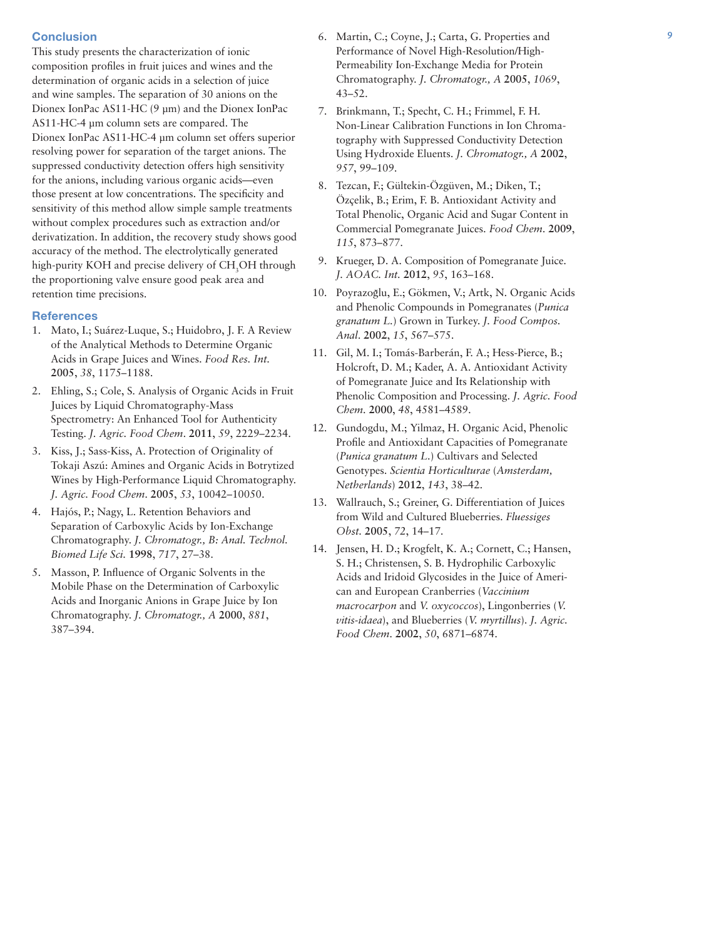# **Conclusion**

This study presents the characterization of ionic composition profiles in fruit juices and wines and the determination of organic acids in a selection of juice and wine samples. The separation of 30 anions on the Dionex IonPac AS11-HC (9 µm) and the Dionex IonPac AS11-HC-4 µm column sets are compared. The Dionex IonPac AS11-HC-4 µm column set offers superior resolving power for separation of the target anions. The suppressed conductivity detection offers high sensitivity for the anions, including various organic acids—even those present at low concentrations. The specificity and sensitivity of this method allow simple sample treatments without complex procedures such as extraction and/or derivatization. In addition, the recovery study shows good accuracy of the method. The electrolytically generated high-purity KOH and precise delivery of CH<sub>3</sub>OH through the proportioning valve ensure good peak area and retention time precisions.

### **References**

- 1. Mato, I.; Suárez-Luque, S.; Huidobro, J. F. A Review of the Analytical Methods to Determine Organic Acids in Grape Juices and Wines. *Food Res. Int.* **2005**, *38*, 1175–1188.
- 2. Ehling, S.; Cole, S. Analysis of Organic Acids in Fruit Juices by Liquid Chromatography-Mass Spectrometry: An Enhanced Tool for Authenticity Testing. *J. Agric. Food Chem*. **2011**, *59*, 2229–2234.
- 3. Kiss, J.; Sass-Kiss, A. Protection of Originality of Tokaji Aszú: Amines and Organic Acids in Botrytized Wines by High-Performance Liquid Chromatography. *J. Agric. Food Chem*. **2005**, *53*, 10042–10050.
- 4. Hajós, P.; Nagy, L. Retention Behaviors and Separation of Carboxylic Acids by Ion-Exchange Chromatography. *J. Chromatogr., B: Anal. Technol. Biomed Life Sci.* **1998**, *717*, 27–38.
- 5. Masson, P. Influence of Organic Solvents in the Mobile Phase on the Determination of Carboxylic Acids and Inorganic Anions in Grape Juice by Ion Chromatography. *J. Chromatogr., A* **2000**, *881*, 387–394.
- 6. Martin, C.; Coyne, J.; Carta, G. Properties and Performance of Novel High-Resolution/High-Permeability Ion-Exchange Media for Protein Chromatography. *J. Chromatogr., A* **2005**, *1069*, 43–52.
- 7. Brinkmann, T.; Specht, C. H.; Frimmel, F. H. Non-Linear Calibration Functions in Ion Chromatography with Suppressed Conductivity Detection Using Hydroxide Eluents. *J. Chromatogr., A* **2002**, *957*, 99–109.
- 8. Tezcan, F.; Gültekin-Özgüven, M.; Diken, T.; Özçelik, B.; Erim, F. B. Antioxidant Activity and Total Phenolic, Organic Acid and Sugar Content in Commercial Pomegranate Juices. *Food Chem*. **2009**, *115*, 873–877.
- 9. Krueger, D. A. Composition of Pomegranate Juice. *J. AOAC. Int.* **2012**, *95*, 163–168.
- 10. Poyrazoglu, E.; Gökmen, V.; Artk, N. Organic Acids and Phenolic Compounds in Pomegranates (*Punica granatum L.*) Grown in Turkey. *J. Food Compos. Anal*. **2002**, *15*, 567–575.
- 11. Gil, M. I.; Tomás-Barberán, F. A.; Hess-Pierce, B.; Holcroft, D. M.; Kader, A. A. Antioxidant Activity of Pomegranate Juice and Its Relationship with Phenolic Composition and Processing. *J. Agric. Food Chem.* **2000**, *48*, 4581–4589.
- 12. Gundogdu, M.; Yilmaz, H. Organic Acid, Phenolic Profile and Antioxidant Capacities of Pomegranate (*Punica granatum L.*) Cultivars and Selected Genotypes. *Scientia Horticulturae* (*Amsterdam, Netherlands*) **2012**, *143*, 38–42.
- 13. Wallrauch, S.; Greiner, G. Differentiation of Juices from Wild and Cultured Blueberries. *Fluessiges Obst.* **2005**, *72*, 14–17.
- 14. Jensen, H. D.; Krogfelt, K. A.; Cornett, C.; Hansen, S. H.; Christensen, S. B. Hydrophilic Carboxylic Acids and Iridoid Glycosides in the Juice of American and European Cranberries (*Vaccinium macrocarpon* and *V. oxycoccos*), Lingonberries (*V. vitis-idaea*), and Blueberries (*V. myrtillus*). *J. Agric. Food Chem*. **2002**, *50*, 6871–6874.